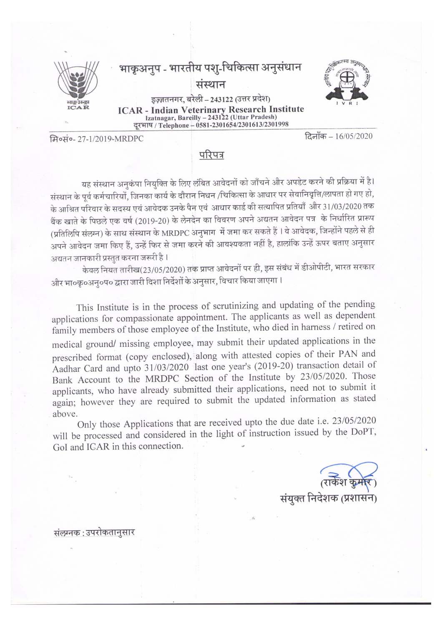

# भाकृअनुप - भारतीय पशु-चिकित्सा अनुसंधान संस्थान

डज्जतनगर, बरेली - 243122 (उत्तर प्रदेश) ICAR - Indian Veterinary Research Institute<br>Izatnagar, Bareilly - 243122 (Uttar Pradesh) दूरभाष / Telephone - 0581-2301654/2301613/2301998

मि०सं०- 27-1/2019-MRDPC

दिनाँक –  $16/05/2020$ 

## परिपत्र

यह संस्थान अनुकंपा नियुक्ति के लिए लंबित आवेदनों को जाँचने और अपडेट करने की प्रक्रिया में है। संस्थान के पूर्व कर्मचारियों, जिनका कार्य के दौरान निधन /चिकित्सा के आधार पर सेवानिवृत्ति/लापता हो गए हो, के आश्रित परिवार के सदस्य एवं आवेदक उनके पैन एवं आधार कार्ड की सत्यापित प्रतियाँ और 31/03/2020 तक बैंक खाते के पिछले एक वर्ष (2019-20) के लेनदेन का विवरण अपने अद्यतन आवेदन पत्र) के निर्धारित प्रारूप (प्रतिलिपि संलग्न) के साथ संस्थान के MRDPC अनुभाग) में जमा कर सकते हैं । वे आवेदक, जिन्होंने पहले से ही अपने आवेदन जमा किए हैं, उन्हें फिर से जमा करने की आवश्यकता नहीं है, हालांकि उन्हें ऊपर बताए अनुसार अद्यतन जानकारी प्रस्तुत करना जरूरी है।

केवल नियत तारीख(23/05/2020) तक प्राप्त आवेदनों पर ही, इस संबंध में डीओपीटी, भारत सरकार और भा०कृ०अनु०प० द्वारा जारी दिशा निर्देशों के अनुसार, विचार किया जाएगा ।

This Institute is in the process of scrutinizing and updating of the pending applications for compassionate appointment. The applicants as well as dependent family members of those employee of the Institute, who died in harness / retired on medical ground/ missing employee, may submit their updated applications in the prescribed format (copy enclosed), along with attested copies of their PAN and Aadhar Card and upto 31/03/2020 last one year's (2019-20) transaction detail of Bank Account to the MRDPC Section of the Institute by 23/05/2020. Those applicants, who have already submitted their applications, need not to submit it again; however they are required to submit the updated information as stated above.

Only those Applications that are received upto the due date i.e. 23/05/2020 will be processed and considered in the light of instruction issued by the DoPT, GoI and ICAR in this connection.

संयुक्त निदेशक (प्रशासन)

संलग्नक:उपरोकतानुसार